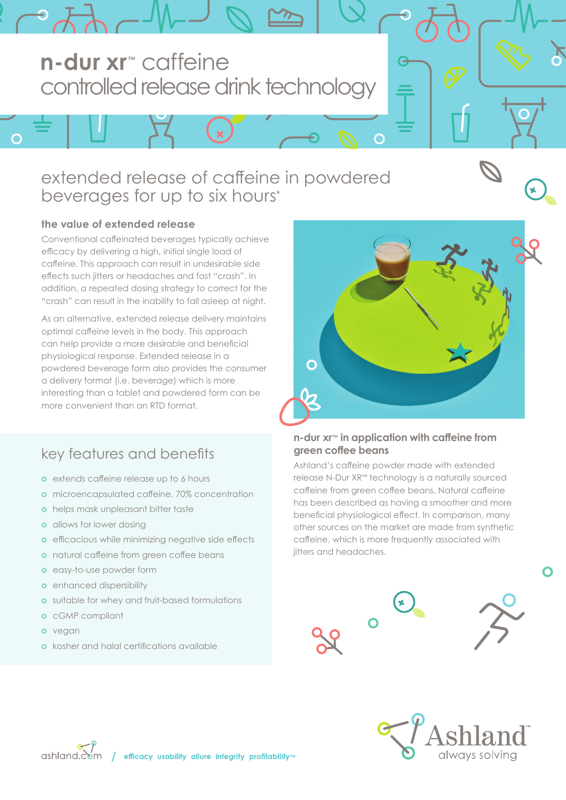# **n-dur xr™** caffeine controlled release drink technology

## extended release of caffeine in powdered beverages for up to six hours\*

### **the value of extended release**

 $\Omega$ 

Conventional caffeinated beverages typically achieve efficacy by delivering a high, initial single load of caffeine. This approach can result in undesirable side effects such jitters or headaches and fast "crash". In addition, a repeated dosing strategy to correct for the "crash" can result in the inability to fall asleep at night.

As an alternative, extended release delivery maintains optimal caffeine levels in the body. This approach can help provide a more desirable and beneficial physiological response. Extended release in a powdered beverage form also provides the consumer a delivery format (i.e. beverage) which is more interesting than a tablet and powdered form can be more convenient than an RTD format.

### key features and benefits

- **o** extends caffeine release up to 6 hours
- **o** microencapsulated caffeine, 70% concentration
- **o** helps mask unpleasant bitter taste
- **o** allows for lower dosing
- **o** efficacious while minimizing negative side effects
- **o** natural caffeine from green coffee beans
- **o** easy-to-use powder form
- **o** enhanced dispersibility
- **o** suitable for whey and fruit-based formulations
- **o** cGMP compliant
- **o** vegan
- **o** kosher and halal certifications available



#### **n-dur xr™ in application with caffeine from green coffee beans**

Ashland's caffeine powder made with extended release N-Dur XR™ technology is a naturally sourced caffeine from green coffee beans. Natural caffeine has been described as having a smoother and more beneficial physiological effect. In comparison, many other sources on the market are made from synthetic caffeine, which is more frequently associated with jitters and headaches.









∩